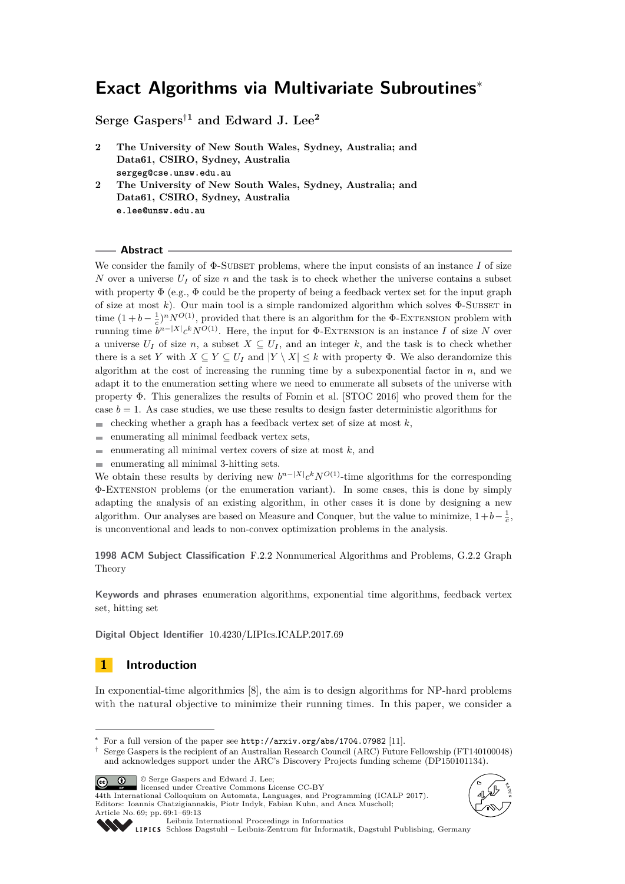# **Exact Algorithms via Multivariate Subroutines**<sup>∗</sup>

**Serge Gaspers**†**<sup>1</sup> and Edward J. Lee<sup>2</sup>**

- **2 The University of New South Wales, Sydney, Australia; and Data61, CSIRO, Sydney, Australia sergeg@cse.unsw.edu.au**
- **2 The University of New South Wales, Sydney, Australia; and Data61, CSIRO, Sydney, Australia e.lee@unsw.edu.au**

**Abstract**

We consider the family of  $\Phi$ -SUBSET problems, where the input consists of an instance *I* of size *N* over a universe  $U_I$  of size *n* and the task is to check whether the universe contains a subset with property  $\Phi$  (e.g.,  $\Phi$  could be the property of being a feedback vertex set for the input graph of size at most *k*). Our main tool is a simple randomized algorithm which solves  $\Phi$ -SUBSET in time  $(1 + b - \frac{1}{c})^n N^{O(1)}$ , provided that there is an algorithm for the  $\Phi$ -EXTENSION problem with running time  $b^{n-|X|}c^kN^{O(1)}$ . Here, the input for  $\Phi$ -EXTENSION is an instance *I* of size *N* over a universe  $U_I$  of size  $n$ , a subset  $X \subseteq U_I$ , and an integer  $k$ , and the task is to check whether there is a set *Y* with  $X \subseteq Y \subseteq U_I$  and  $|Y \setminus X| \leq k$  with property  $\Phi$ . We also derandomize this algorithm at the cost of increasing the running time by a subexponential factor in *n*, and we adapt it to the enumeration setting where we need to enumerate all subsets of the universe with property Φ. This generalizes the results of Fomin et al. [STOC 2016] who proved them for the case  $b = 1$ . As case studies, we use these results to design faster deterministic algorithms for checking whether a graph has a feedback vertex set of size at most  $k$ ,

- $\blacksquare$  enumerating all minimal feedback vertex sets,
- $\blacksquare$  enumerating all minimal vertex covers of size at most  $k$ , and
- enumerating all minimal 3-hitting sets.

We obtain these results by deriving new  $b^{n-|X|}c^kN^{O(1)}$ -time algorithms for the corresponding Φ-Extension problems (or the enumeration variant). In some cases, this is done by simply adapting the analysis of an existing algorithm, in other cases it is done by designing a new algorithm. Our analyses are based on Measure and Conquer, but the value to minimize,  $1+b-\frac{1}{c}$ , is unconventional and leads to non-convex optimization problems in the analysis.

**1998 ACM Subject Classification** F.2.2 Nonnumerical Algorithms and Problems, G.2.2 Graph Theory

**Keywords and phrases** enumeration algorithms, exponential time algorithms, feedback vertex set, hitting set

**Digital Object Identifier** [10.4230/LIPIcs.ICALP.2017.69](http://dx.doi.org/10.4230/LIPIcs.ICALP.2017.69)

# **1 Introduction**

In exponential-time algorithmics [\[8\]](#page-12-0), the aim is to design algorithms for NP-hard problems with the natural objective to minimize their running times. In this paper, we consider a

© Serge Gaspers and Edward J. Lee;

 $\circledcirc$ licensed under Creative Commons License CC-BY 44th International Colloquium on Automata, Languages, and Programming (ICALP 2017). Editors: Ioannis Chatzigiannakis, Piotr Indyk, Fabian Kuhn, and Anca Muscholl; Article No. 69; pp. 69:1–69[:13](#page-12-2)





[Leibniz International Proceedings in Informatics](http://www.dagstuhl.de/lipics/)

<sup>∗</sup> For a full version of the paper see <http://arxiv.org/abs/1704.07982> [\[11\]](#page-12-1).

<sup>†</sup> Serge Gaspers is the recipient of an Australian Research Council (ARC) Future Fellowship (FT140100048) and acknowledges support under the ARC's Discovery Projects funding scheme (DP150101134).

[Schloss Dagstuhl – Leibniz-Zentrum für Informatik, Dagstuhl Publishing, Germany](http://www.dagstuhl.de)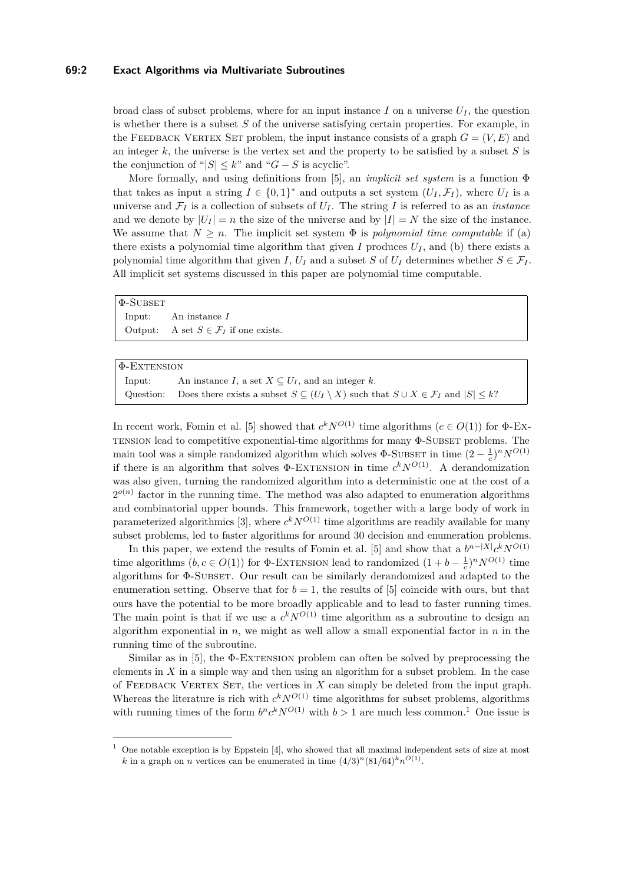#### **69:2 Exact Algorithms via Multivariate Subroutines**

broad class of subset problems, where for an input instance  $I$  on a universe  $U_I$ , the question is whether there is a subset *S* of the universe satisfying certain properties. For example, in the FEEDBACK VERTEX SET problem, the input instance consists of a graph  $G = (V, E)$  and an integer *k*, the universe is the vertex set and the property to be satisfied by a subset *S* is the conjunction of " $|S| \leq k$ " and " $G - S$  is acyclic".

More formally, and using definitions from [\[5\]](#page-12-3), an *implicit set system* is a function Φ that takes as input a string  $I \in \{0,1\}^*$  and outputs a set system  $(U_I, \mathcal{F}_I)$ , where  $U_I$  is a universe and  $\mathcal{F}_I$  is a collection of subsets of  $U_I$ . The string *I* is referred to as an *instance* and we denote by  $|U_I| = n$  the size of the universe and by  $|I| = N$  the size of the instance. We assume that  $N \geq n$ . The implicit set system  $\Phi$  is *polynomial time computable* if (a) there exists a polynomial time algorithm that given *I* produces  $U_I$ , and (b) there exists a polynomial time algorithm that given *I*,  $U_I$  and a subset *S* of  $U_I$  determines whether  $S \in \mathcal{F}_I$ . All implicit set systems discussed in this paper are polynomial time computable.

Φ-Subset Input: An instance *I* Output: A set  $S \in \mathcal{F}_I$  if one exists.

Φ-Extension

Input: An instance *I*, a set  $X \subseteq U_I$ , and an integer *k*.

Question: Does there exists a subset  $S \subseteq (U_I \setminus X)$  such that  $S \cup X \in \mathcal{F}_I$  and  $|S| \leq k$ ?

In recent work, Fomin et al. [\[5\]](#page-12-3) showed that  $c^k N^{O(1)}$  time algorithms  $(c \in O(1))$  for  $\Phi$ -Ex $t$ ENSION lead to competitive exponential-time algorithms for many  $\Phi$ -SUBSET problems. The main tool was a simple randomized algorithm which solves  $\Phi$ -SUBSET in time  $(2 - \frac{1}{c})^n N^{O(1)}$ if there is an algorithm that solves  $\Phi$ -EXTENSION in time  $c^k N^{O(1)}$ . A derandomization was also given, turning the randomized algorithm into a deterministic one at the cost of a  $2^{o(n)}$  factor in the running time. The method was also adapted to enumeration algorithms and combinatorial upper bounds. This framework, together with a large body of work in parameterized algorithmics [\[3\]](#page-12-4), where  $c^k N^{O(1)}$  time algorithms are readily available for many subset problems, led to faster algorithms for around 30 decision and enumeration problems.

In this paper, we extend the results of Fomin et al. [\[5\]](#page-12-3) and show that a  $b^{n-|X|}c^kN^{O(1)}$ time algorithms  $(b, c \in O(1))$  for  $\Phi$ -EXTENSION lead to randomized  $(1 + b - \frac{1}{c})^n N^{O(1)}$  time algorithms for Φ-Subset. Our result can be similarly derandomized and adapted to the enumeration setting. Observe that for  $b = 1$ , the results of [\[5\]](#page-12-3) coincide with ours, but that ours have the potential to be more broadly applicable and to lead to faster running times. The main point is that if we use a  $c^k N^{O(1)}$  time algorithm as a subroutine to design an algorithm exponential in *n*, we might as well allow a small exponential factor in *n* in the running time of the subroutine.

Similar as in [\[5\]](#page-12-3), the Φ-Extension problem can often be solved by preprocessing the elements in *X* in a simple way and then using an algorithm for a subset problem. In the case of FEEDBACK VERTEX SET, the vertices in  $X$  can simply be deleted from the input graph. Whereas the literature is rich with  $c^k N^{O(1)}$  time algorithms for subset problems, algorithms with running times of the form  $b^n c^k N^{O(1)}$  $b^n c^k N^{O(1)}$  $b^n c^k N^{O(1)}$  with  $b > 1$  are much less common.<sup>1</sup> One issue is

<span id="page-1-0"></span><sup>&</sup>lt;sup>1</sup> One notable exception is by Eppstein  $[4]$ , who showed that all maximal independent sets of size at most *k* in a graph on *n* vertices can be enumerated in time  $(4/3)^n (81/64)^k n^{O(1)}$ .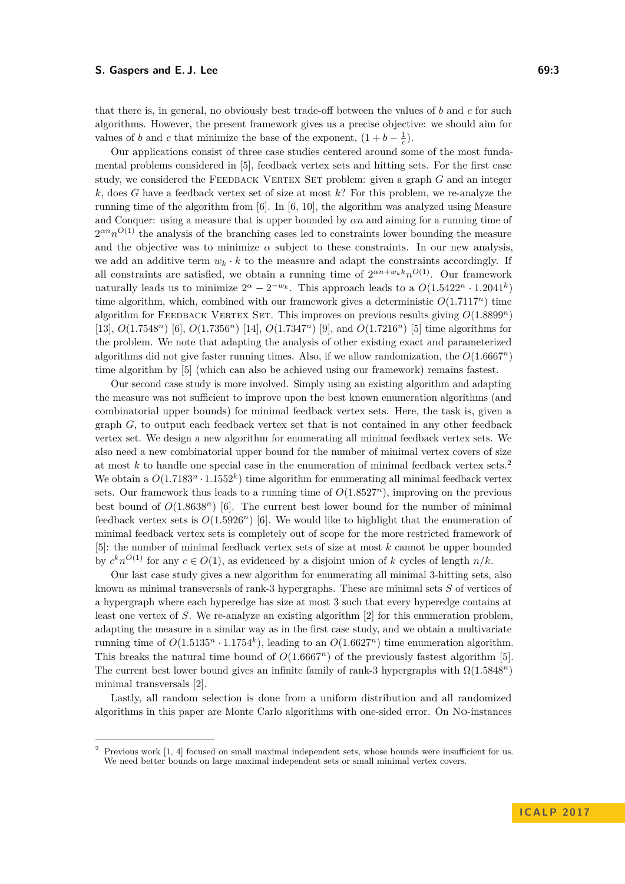that there is, in general, no obviously best trade-off between the values of *b* and *c* for such algorithms. However, the present framework gives us a precise objective: we should aim for values of *b* and *c* that minimize the base of the exponent,  $(1 + b - \frac{1}{c})$ .

Our applications consist of three case studies centered around some of the most fundamental problems considered in [\[5\]](#page-12-3), feedback vertex sets and hitting sets. For the first case study, we considered the FEEDBACK VERTEX SET problem: given a graph *G* and an integer *k*, does *G* have a feedback vertex set of size at most *k*? For this problem, we re-analyze the running time of the algorithm from [\[6\]](#page-12-6). In [\[6,](#page-12-6) [10\]](#page-12-7), the algorithm was analyzed using Measure and Conquer: using a measure that is upper bounded by *αn* and aiming for a running time of  $2^{\alpha n} n^{O(1)}$  the analysis of the branching cases led to constraints lower bounding the measure and the objective was to minimize  $\alpha$  subject to these constraints. In our new analysis, we add an additive term  $w_k \cdot k$  to the measure and adapt the constraints accordingly. If all constraints are satisfied, we obtain a running time of  $2^{\alpha n + w_k k} n^{O(1)}$ . Our framework naturally leads us to minimize  $2^{\alpha} - 2^{-w_k}$ . This approach leads to a  $O(1.5422^n \cdot 1.2041^k)$ time algorithm, which, combined with our framework gives a deterministic  $O(1.7117<sup>n</sup>)$  time algorithm for FEEDBACK VERTEX SET. This improves on previous results giving  $O(1.8899^n)$ [\[13\]](#page-12-8), *O*(1*.*7548*n*) [\[6\]](#page-12-6), *O*(1*.*7356*n*) [\[14\]](#page-12-9), *O*(1*.*7347*n*) [\[9\]](#page-12-10), and *O*(1*.*7216*n*) [\[5\]](#page-12-3) time algorithms for the problem. We note that adapting the analysis of other existing exact and parameterized algorithms did not give faster running times. Also, if we allow randomization, the  $O(1.6667<sup>n</sup>)$ time algorithm by [\[5\]](#page-12-3) (which can also be achieved using our framework) remains fastest.

Our second case study is more involved. Simply using an existing algorithm and adapting the measure was not sufficient to improve upon the best known enumeration algorithms (and combinatorial upper bounds) for minimal feedback vertex sets. Here, the task is, given a graph *G*, to output each feedback vertex set that is not contained in any other feedback vertex set. We design a new algorithm for enumerating all minimal feedback vertex sets. We also need a new combinatorial upper bound for the number of minimal vertex covers of size at most *k* to handle one special case in the enumeration of minimal feedback vertex sets.[2](#page-2-0) We obtain a  $O(1.7183^n \cdot 1.1552^k)$  time algorithm for enumerating all minimal feedback vertex sets. Our framework thus leads to a running time of  $O(1.8527^n)$ , improving on the previous best bound of *O*(1*.*8638*<sup>n</sup>*) [\[6\]](#page-12-6). The current best lower bound for the number of minimal feedback vertex sets is  $O(1.5926^n)$  [\[6\]](#page-12-6). We would like to highlight that the enumeration of minimal feedback vertex sets is completely out of scope for the more restricted framework of [\[5\]](#page-12-3): the number of minimal feedback vertex sets of size at most *k* cannot be upper bounded by  $c^k n^{O(1)}$  for any  $c \in O(1)$ , as evidenced by a disjoint union of *k* cycles of length  $n/k$ .

Our last case study gives a new algorithm for enumerating all minimal 3-hitting sets, also known as minimal transversals of rank-3 hypergraphs. These are minimal sets *S* of vertices of a hypergraph where each hyperedge has size at most 3 such that every hyperedge contains at least one vertex of *S*. We re-analyze an existing algorithm [\[2\]](#page-12-11) for this enumeration problem, adapting the measure in a similar way as in the first case study, and we obtain a multivariate running time of  $O(1.5135^n \cdot 1.1754^k)$ , leading to an  $O(1.6627^n)$  time enumeration algorithm. This breaks the natural time bound of  $O(1.6667<sup>n</sup>)$  of the previously fastest algorithm [\[5\]](#page-12-3). The current best lower bound gives an infinite family of rank-3 hypergraphs with  $\Omega(1.5848^n)$ minimal transversals [\[2\]](#page-12-11).

Lastly, all random selection is done from a uniform distribution and all randomized algorithms in this paper are Monte Carlo algorithms with one-sided error. On No-instances

<span id="page-2-0"></span><sup>2</sup> Previous work [\[1,](#page-11-0) [4\]](#page-12-5) focused on small maximal independent sets, whose bounds were insufficient for us. We need better bounds on large maximal independent sets or small minimal vertex covers.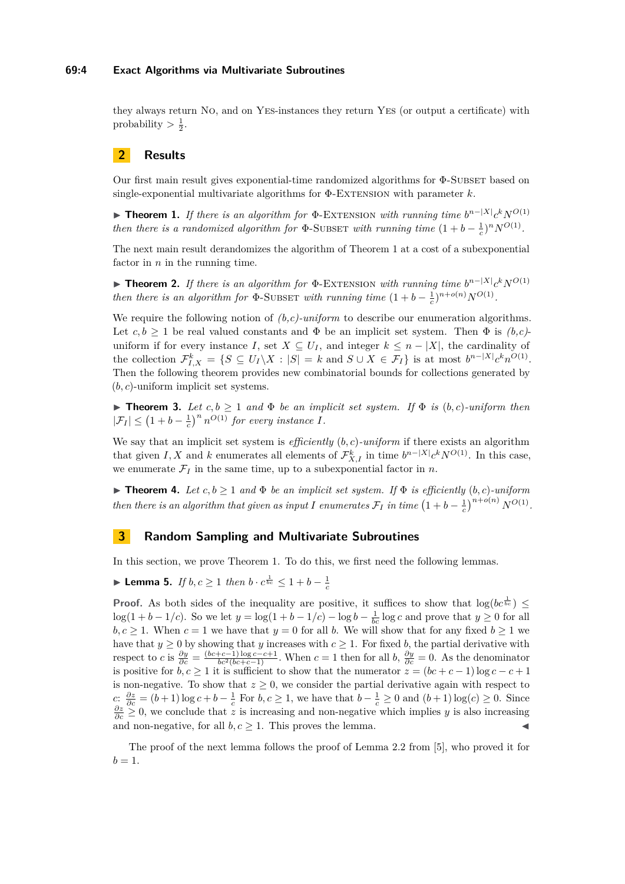#### **69:4 Exact Algorithms via Multivariate Subroutines**

they always return No, and on Yes-instances they return Yes (or output a certificate) with probability  $> \frac{1}{2}$ .

# **2 Results**

Our first main result gives exponential-time randomized algorithms for  $\Phi$ -SUBSET based on single-exponential multivariate algorithms for  $\Phi$ -Extension with parameter *k*.

<span id="page-3-0"></span>**► Theorem 1.** *If there is an algorithm for*  $\Phi$ -EXTENSION *with running time*  $b^{n-|X|}c^kN^{O(1)}$ *then there is a randomized algorithm for*  $\Phi$ -SUBSET *with running time*  $(1 + b - \frac{1}{c})^n N^{O(1)}$ .

The next main result derandomizes the algorithm of Theorem [1](#page-3-0) at a cost of a subexponential factor in *n* in the running time.

<span id="page-3-2"></span>**► Theorem 2.** *If there is an algorithm for*  $\Phi$ -EXTENSION *with running time*  $b^{n-|X|}c^kN^{O(1)}$ *then there is an algorithm for*  $\Phi$ -SUBSET *with running time*  $(1 + b - \frac{1}{c})^{n + o(n)} N^{O(1)}$ .

We require the following notion of  $(b, c)$ -uniform to describe our enumeration algorithms. Let  $c, b \geq 1$  be real valued constants and  $\Phi$  be an implicit set system. Then  $\Phi$  is  $(b, c)$ uniform if for every instance *I*, set  $X \subseteq U_I$ , and integer  $k \leq n - |X|$ , the cardinality of the collection  $\mathcal{F}_{I,X}^k = \{S \subseteq U_I \setminus X : |S| = k \text{ and } S \cup X \in \mathcal{F}_I\}$  is at most  $b^{n-|X|} c^k n^{O(1)}$ . Then the following theorem provides new combinatorial bounds for collections generated by (*b, c*)-uniform implicit set systems.

<span id="page-3-3"></span>**► Theorem 3.** Let  $c, b \ge 1$  and  $\Phi$  be an implicit set system. If  $\Phi$  is  $(b, c)$ -uniform then  $|\mathcal{F}_I| \leq (1 + b - \frac{1}{c})^n n^{O(1)}$  *for every instance I.* 

We say that an implicit set system is *efficiently* (*b, c*)*-uniform* if there exists an algorithm that given *I, X* and *k* enumerates all elements of  $\mathcal{F}_{X,I}^k$  in time  $b^{n-|X|}c^kN^{O(1)}$ . In this case, we enumerate  $\mathcal{F}_I$  in the same time, up to a subexponential factor in *n*.

<span id="page-3-4"></span>**Theorem 4.** *Let*  $c, b \ge 1$  *and*  $\Phi$  *be an implicit set system. If*  $\Phi$  *is efficiently*  $(b, c)$ *-uniform then there is an algorithm that given as input <i>I* enumerates  $\mathcal{F}_I$  in time  $\left(1 + b - \frac{1}{c}\right)^{n+o(n)} N^{O(1)}$ .

# **3 Random Sampling and Multivariate Subroutines**

In this section, we prove Theorem [1.](#page-3-0) To do this, we first need the following lemmas.

<span id="page-3-1"></span>► Lemma 5. *If*  $b, c \ge 1$  *then*  $b \cdot c^{\frac{1}{bc}} \le 1 + b - \frac{1}{c}$ 

**Proof.** As both sides of the inequality are positive, it suffices to show that  $\log(bc^{\frac{1}{bc}}) \le$  $\log(1 + b - 1/c)$ . So we let  $y = \log(1 + b - 1/c) - \log b - \frac{1}{bc} \log c$  and prove that  $y \ge 0$  for all  $b, c \geq 1$ . When  $c = 1$  we have that  $y = 0$  for all *b*. We will show that for any fixed  $b \geq 1$  we have that  $y \ge 0$  by showing that *y* increases with  $c \ge 1$ . For fixed *b*, the partial derivative with respect to *c* is  $\frac{\partial y}{\partial c} = \frac{(bc+c-1)\log c - c + 1}{bc^2(bc+c-1)}$ . When  $c = 1$  then for all  $b$ ,  $\frac{\partial y}{\partial c} = 0$ . As the denominator is positive for  $b, c \ge 1$  it is sufficient to show that the numerator  $z = (bc + c - 1) \log c - c + 1$ is non-negative. To show that  $z \geq 0$ , we consider the partial derivative again with respect to c:  $\frac{\partial z}{\partial c} = (b+1) \log c + b - \frac{1}{c}$  For  $b, c \ge 1$ , we have that  $b - \frac{1}{c} \ge 0$  and  $(b+1) \log(c) \ge 0$ . Since  $\frac{\partial z}{\partial c} \ge 0$ , we conclude that z is increasing and non-negative which implies y is also increasing and non-negative, for all  $b, c \geq 1$ . This proves the lemma.

The proof of the next lemma follows the proof of Lemma 2.2 from [\[5\]](#page-12-3), who proved it for  $b=1$ .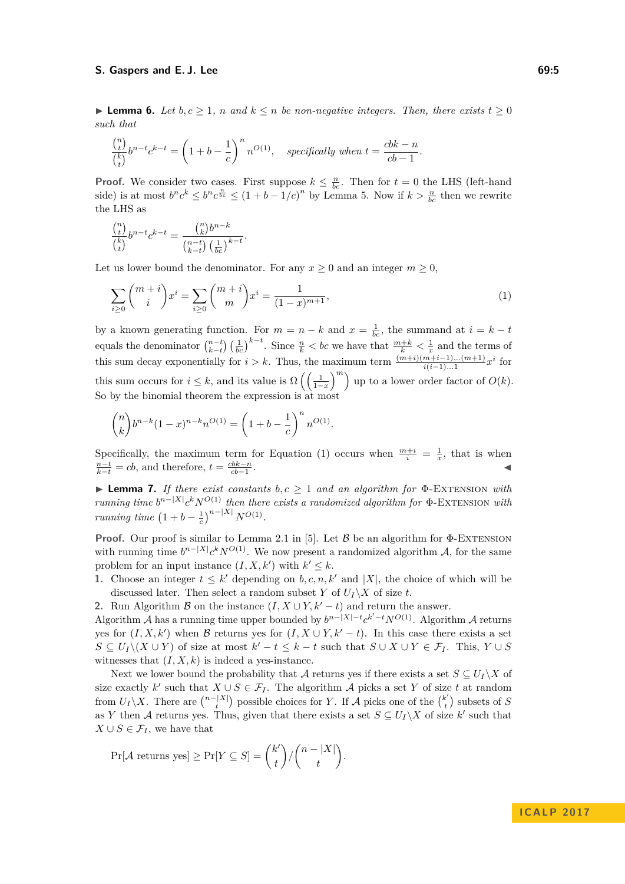<span id="page-4-1"></span>► **Lemma 6.** *Let*  $b, c \ge 1$ *,*  $n$  *and*  $k \le n$  *be non-negative integers. Then, there exists*  $t \ge 0$ *such that*

$$
\frac{\binom{n}{t}}{\binom{k}{t}}b^{n-t}c^{k-t} = \left(1+b-\frac{1}{c}\right)^n n^{O(1)}, \quad \text{specifically when } t = \frac{cbk-n}{cb-1}.
$$

**Proof.** We consider two cases. First suppose  $k \leq \frac{n}{bc}$ . Then for  $t = 0$  the LHS (left-hand side) is at most  $b^n c^k \leq b^n c^{\frac{n}{bc}} \leq (1 + b - 1/c)^n$  by Lemma [5.](#page-3-1) Now if  $k > \frac{n}{bc}$  then we rewrite the LHS as

$$
\frac{\binom{n}{t}}{\binom{k}{t}}b^{n-t}c^{k-t} = \frac{\binom{n}{k}b^{n-k}}{\binom{n-t}{k-t}\left(\frac{1}{bc}\right)^{k-t}}
$$

Let us lower bound the denominator. For any  $x \geq 0$  and an integer  $m \geq 0$ ,

<span id="page-4-0"></span>*.*

$$
\sum_{i\geq 0} \binom{m+i}{i} x^i = \sum_{i\geq 0} \binom{m+i}{m} x^i = \frac{1}{(1-x)^{m+1}},\tag{1}
$$

by a known generating function. For  $m = n - k$  and  $x = \frac{1}{bc}$ , the summand at  $i = k - t$ equals the denominator  $\binom{n-t}{k-t}$   $\left(\frac{1}{bc}\right)^{k-t}$ . Since  $\frac{n}{k} < bc$  we have that  $\frac{m+k}{k} < \frac{1}{x}$  and the terms of this sum decay exponentially for  $i > k$ . Thus, the maximum term  $\frac{(m+i)(m+i-1)...(m+1)}{i(i-1)...1}x^i$  for this sum occurs for  $i \leq k$ , and its value is  $\Omega\left(\left(\frac{1}{1-x}\right)^m\right)$  up to a lower order factor of  $O(k)$ . So by the binomial theorem the expression is at most

$$
\binom{n}{k}b^{n-k}(1-x)^{n-k}n^{O(1)} = \left(1+b-\frac{1}{c}\right)^n n^{O(1)}.
$$

Specifically, the maximum term for Equation [\(1\)](#page-4-0) occurs when  $\frac{m+i}{i} = \frac{1}{x}$ , that is when  $\frac{n-t}{k-t} = cb$ , and therefore,  $t = \frac{cbk-n}{cb-1}$ . J

<span id="page-4-2"></span>**Lemma 7.** *If there exist constants*  $b, c \geq 1$  *and an algorithm for*  $\Phi$ -EXTENSION *with running time*  $b^{n-|X|}c^kN^{O(1)}$  *then there exists a randomized algorithm for*  $\Phi$ -EXTENSION *with running time*  $(1 + b - \frac{1}{c})^{n-|X|} N^{O(1)}$ *.* 

**Proof.** Our proof is similar to Lemma 2.1 in [\[5\]](#page-12-3). Let  $\beta$  be an algorithm for  $\Phi$ -EXTENSION with running time  $b^{n-|X|}c^kN^{O(1)}$ . We now present a randomized algorithm A, for the same problem for an input instance  $(I, X, k')$  with  $k' \leq k$ .

**1.** Choose an integer  $t \leq k'$  depending on  $b, c, n, k'$  and  $|X|$ , the choice of which will be discussed later. Then select a random subset *Y* of  $U_I \backslash X$  of size *t*.

**2.** Run Algorithm B on the instance  $(I, X \cup Y, k' - t)$  and return the answer.

Algorithm A has a running time upper bounded by  $b^{n-|X|-t}c^{k'-t}N^{O(1)}$ . Algorithm A returns yes for  $(I, X, k')$  when B returns yes for  $(I, X \cup Y, k' - t)$ . In this case there exists a set  $S \subseteq U_I \setminus (X \cup Y)$  of size at most  $k' - t \leq k - t$  such that  $S \cup X \cup Y \in \mathcal{F}_I$ . This,  $Y \cup S$ witnesses that  $(I, X, k)$  is indeed a yes-instance.

Next we lower bound the probability that A returns yes if there exists a set  $S \subseteq U_I \backslash X$  of size exactly  $k'$  such that  $X \cup S \in \mathcal{F}_I$ . The algorithm A picks a set Y of size t at random from  $U_I \backslash X$ . There are  $\binom{n-|X|}{t}$  possible choices for *Y*. If A picks one of the  $\binom{k'}{t}$  $t$ <sup>t</sup>) subsets of *S* as *Y* then *A* returns yes. Thus, given that there exists a set  $S \subseteq U_I \setminus X$  of size  $k'$  such that *X* ∪ *S* ∈  $\mathcal{F}_I$ , we have that

 $Pr[\mathcal{A} \text{ returns yes}] \geq Pr[Y \subseteq S] = \binom{k'}{k}$ *t*  $\binom{n-|X|}{n}$ *t .*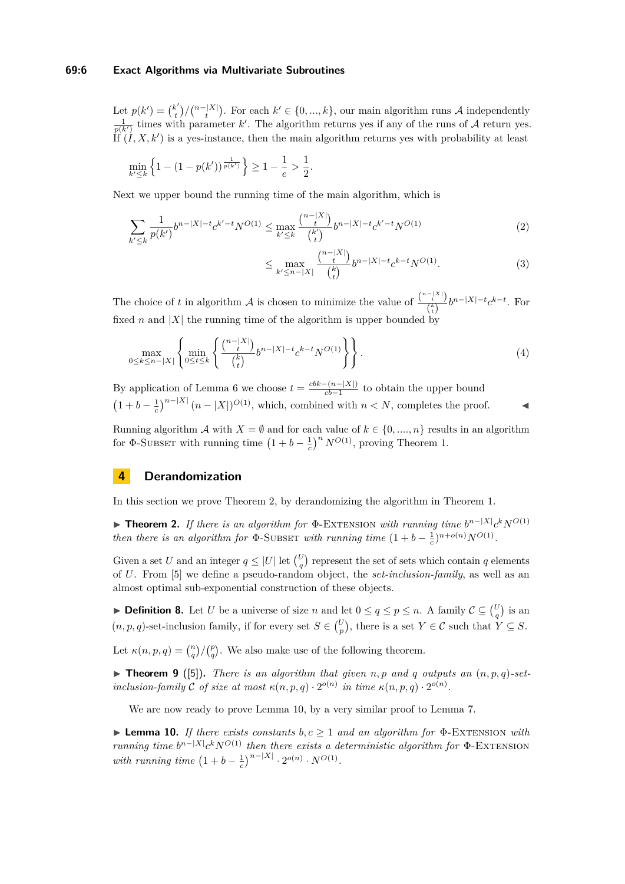#### **69:6 Exact Algorithms via Multivariate Subroutines**

Let  $p(k') = \binom{k'}{k}$  $\binom{k'}{t}/\binom{n-|X|}{t}$ . For each  $k' \in \{0, ..., k\}$ , our main algorithm runs A independently  $\frac{1}{p(k')}$  times with parameter k'. The algorithm returns yes if any of the runs of A return yes. If  $(I, X, k')$  is a yes-instance, then the main algorithm returns yes with probability at least

$$
\min_{k' \le k} \left\{ 1 - (1 - p(k'))^{\frac{1}{p(k')}} \right\} \ge 1 - \frac{1}{e} > \frac{1}{2}.
$$

Next we upper bound the running time of the main algorithm, which is

$$
\sum_{k' \le k} \frac{1}{p(k')} b^{n-|X|-t} c^{k'-t} N^{O(1)} \le \max_{k' \le k} \frac{\binom{n-|X|}{t}}{\binom{k'}{t}} b^{n-|X|-t} c^{k'-t} N^{O(1)} \tag{2}
$$

<span id="page-5-2"></span>
$$
\leq \max_{k' \leq n-|X|} \frac{\binom{n-|X|}{t}}{\binom{k}{t}} b^{n-|X|-t} c^{k-t} N^{O(1)}.\tag{3}
$$

The choice of *t* in algorithm A is chosen to minimize the value of  $\frac{\binom{n-|X|}{t}}{\binom{k}{t}}$  $\frac{1}{\binom{k}{t}}b^{n-|X|-t}c^{k-t}$ . For fixed *n* and |X| the running time of the algorithm is upper bounded by

$$
\max_{0 \le k \le n-|X|} \left\{ \min_{0 \le t \le k} \left\{ \frac{\binom{n-|X|}{t}}{\binom{k}{t}} b^{n-|X|-t} c^{k-t} N^{O(1)} \right\} \right\}.
$$
\n
$$
(4)
$$

By application of Lemma [6](#page-4-1) we choose  $t = \frac{cbb - (n-|X|)}{cb-1}$  $\frac{-(n-|A|)}{cb-1}$  to obtain the upper bound  $(1 + b - \frac{1}{c})^{n-|X|} (n - |X|)^{O(1)}$ , which, combined with *n* < *N*, completes the proof. ◄

Running algorithm  $\mathcal A$  with  $X = \emptyset$  and for each value of  $k \in \{0, ..., n\}$  results in an algorithm for  $\Phi$ -SUBSET with running time  $\left(1 + b - \frac{1}{c}\right)^n N^{O(1)}$ , proving Theorem [1.](#page-3-0)

# **4 Derandomization**

In this section we prove Theorem [2,](#page-3-2) by derandomizing the algorithm in Theorem [1.](#page-3-0)

**► Theorem 2.** *If there is an algorithm for*  $\Phi$ -EXTENSION *with running time*  $b^{n-|X|}c^kN^{O(1)}$ *then there is an algorithm for*  $\Phi$ -SUBSET *with running time*  $(1 + b - \frac{1}{c})^{n + o(n)} N^{O(1)}$ .

Given a set *U* and an integer  $q \leq |U|$  let  $\binom{U}{q}$  represent the set of sets which contain *q* elements of *U*. From [\[5\]](#page-12-3) we define a pseudo-random object, the *set-inclusion-family*, as well as an almost optimal sub-exponential construction of these objects.

▶ **Definition 8.** Let *U* be a universe of size *n* and let  $0 \le q \le p \le n$ . A family  $\mathcal{C} \subseteq {U \choose q}$  is an  $(n, p, q)$ -set-inclusion family, if for every set  $S \in {U \choose p}$ , there is a set  $Y \in \mathcal{C}$  such that  $Y \subseteq S$ .

Let  $\kappa(n, p, q) = \binom{n}{q} / \binom{p}{q}$ . We also make use of the following theorem.

<span id="page-5-1"></span> $\triangleright$  **Theorem 9** ([\[5\]](#page-12-3)). *There is an algorithm that given n,p and q outputs an*  $(n, p, q)$ -set*inclusion-family* C *of size at most*  $\kappa(n, p, q) \cdot 2^{o(n)}$  *in time*  $\kappa(n, p, q) \cdot 2^{o(n)}$ *.* 

We are now ready to prove Lemma [10,](#page-5-0) by a very similar proof to Lemma [7.](#page-4-2)

<span id="page-5-0"></span>**Lemma 10.** *If there exists constants*  $b, c \ge 1$  *and an algorithm for*  $\Phi$ -EXTENSION *with running time*  $b^{n-|X|}c^kN^{O(1)}$  *then there exists a deterministic algorithm for*  $\Phi$ -EXTENSION *with running time*  $(1 + b - \frac{1}{c})^{n-|X|} \cdot 2^{o(n)} \cdot N^{O(1)}$ .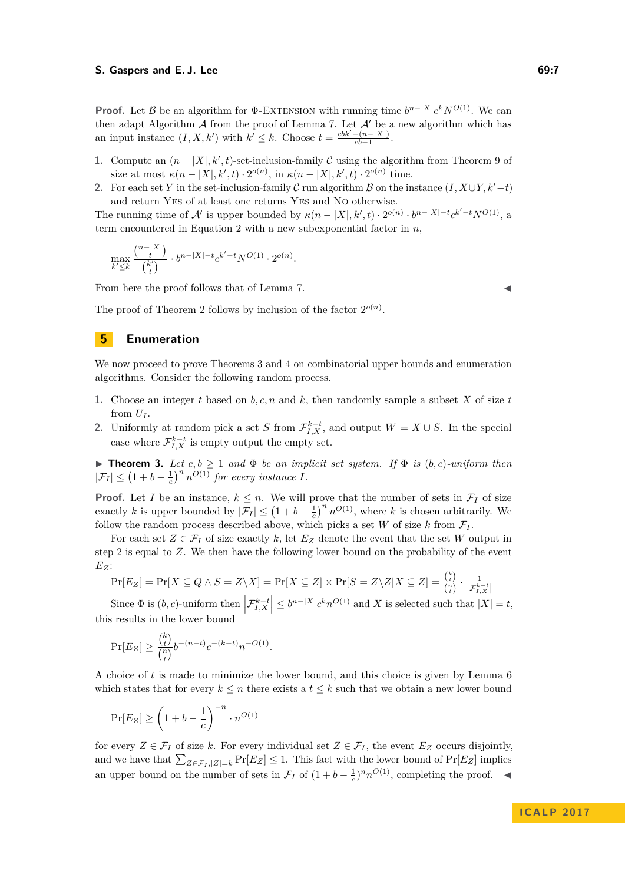**Proof.** Let B be an algorithm for  $\Phi$ -EXTENSION with running time  $b^{n-|X|}c^kN^{O(1)}$ . We can then adapt Algorithm  $A$  from the proof of Lemma [7.](#page-4-2) Let  $A'$  be a new algorithm which has an input instance  $(I, X, k')$  with  $k' \leq k$ . Choose  $t = \frac{cbb' - (n-|X|)}{c}$  $\frac{-\left(n-\vert\mathbf{A}\vert\right)}{cb-1}$ .

- **1.** Compute an  $(n |X|, k', t)$ -set-inclusion-family C using the algorithm from Theorem [9](#page-5-1) of size at most  $\kappa(n-|X|, k', t) \cdot 2^{o(n)}$ , in  $\kappa(n-|X|, k', t) \cdot 2^{o(n)}$  time.
- **2.** For each set *Y* in the set-inclusion-family C run algorithm B on the instance  $(I, X \cup Y, k'-t)$ and return Yes of at least one returns Yes and No otherwise.

The running time of A' is upper bounded by  $\kappa(n-|X|, k', t) \cdot 2^{o(n)} \cdot b^{n-|X|-t} c^{k'-t} N^{O(1)}$ , a term encountered in Equation [2](#page-5-2) with a new subexponential factor in *n*,

$$
\max_{k' \leq k} \frac{\binom{n-|X|}{t}}{\binom{k'}{t}} \cdot b^{n-|X|-t} c^{k'-t} N^{O(1)} \cdot 2^{o(n)}.
$$

From here the proof follows that of Lemma [7.](#page-4-2)

The proof of Theorem [2](#page-3-2) follows by inclusion of the factor  $2^{o(n)}$ .

# **5 Enumeration**

We now proceed to prove Theorems [3](#page-3-3) and [4](#page-3-4) on combinatorial upper bounds and enumeration algorithms. Consider the following random process.

- **1.** Choose an integer *t* based on *b, c, n* and *k*, then randomly sample a subset *X* of size *t* from  $U_I$ .
- **2.** Uniformly at random pick a set *S* from  $\mathcal{F}_{I,X}^{k-t}$ , and output  $W = X \cup S$ . In the special case where  $\mathcal{F}_{I,X}^{k-t}$  is empty output the empty set.

**Findmen 3.** *Let*  $c, b \geq 1$  *and*  $\Phi$  *be an implicit set system. If*  $\Phi$  *is* (*b, c*)*-uniform then*  $|\mathcal{F}_I| \leq (1 + b - \frac{1}{c})^n n^{O(1)}$  *for every instance I.* 

**Proof.** Let *I* be an instance,  $k \leq n$ . We will prove that the number of sets in  $\mathcal{F}_I$  of size exactly *k* is upper bounded by  $|\mathcal{F}_I| \leq (1 + b - \frac{1}{c})^n n^{O(1)}$ , where *k* is chosen arbitrarily. We follow the random process described above, which picks a set *W* of size *k* from  $\mathcal{F}_I$ .

For each set  $Z \in \mathcal{F}_I$  of size exactly k, let  $E_Z$  denote the event that the set W output in step 2 is equal to *Z*. We then have the following lower bound on the probability of the event *EZ*:

$$
\Pr[E_Z] = \Pr[X \subseteq Q \land S = Z \setminus X] = \Pr[X \subseteq Z] \times \Pr[S = Z \setminus Z | X \subseteq Z] = \frac{\binom{k}{t}}{\binom{n}{t}} \cdot \frac{1}{|\mathcal{F}_{I,X}^{k-t}|}
$$

Since  $\Phi$  is  $(b, c)$ -uniform then  $\left| \mathcal{F}_{I,X}^{k-t} \right| \leq b^{n-|X|} c^k n^{O(1)}$  and *X* is selected such that  $|X| = t$ , this results in the lower bound

$$
\Pr[E_Z] \ge \frac{{k \choose t}}{{n \choose t}} b^{-(n-t)} c^{-(k-t)} n^{-O(1)}.
$$

A choice of *t* is made to minimize the lower bound, and this choice is given by Lemma [6](#page-4-1) which states that for every  $k \leq n$  there exists a  $t \leq k$  such that we obtain a new lower bound

$$
\Pr[E_Z] \ge \left(1 + b - \frac{1}{c}\right)^{-n} \cdot n^{O(1)}
$$

for every  $Z \in \mathcal{F}_I$  of size *k*. For every individual set  $Z \in \mathcal{F}_I$ , the event  $E_Z$  occurs disjointly, and we have that  $\sum_{Z \in \mathcal{F}_I, |Z|=k} \Pr[E_Z] \leq 1$ . This fact with the lower bound of  $\Pr[E_Z]$  implies an upper bound on the number of sets in  $\mathcal{F}_I$  of  $(1 + b - \frac{1}{c})^n n^{O(1)}$ , completing the proof.  $\blacktriangleleft$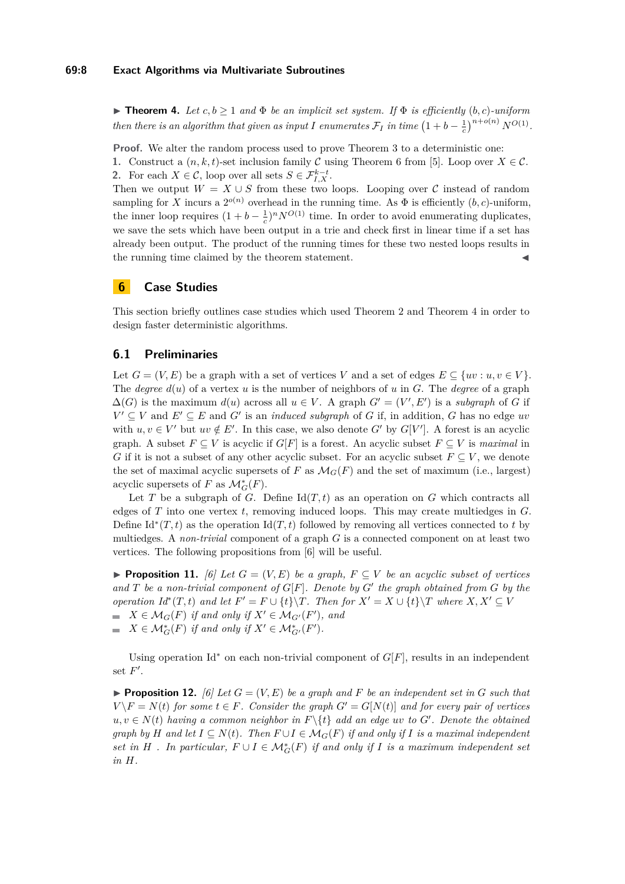**Find 1.** *Let*  $c, b \ge 1$  *and*  $\Phi$  *be an implicit set system. If*  $\Phi$  *is efficiently*  $(b, c)$ *-uniform then there is an algorithm that given as input <i>I* enumerates  $\mathcal{F}_I$  in time  $\left(1 + b - \frac{1}{c}\right)^{n+o(n)} N^{O(1)}$ .

**Proof.** We alter the random process used to prove Theorem [3](#page-3-3) to a deterministic one:

**1.** Construct a  $(n, k, t)$ -set inclusion family C using Theorem 6 from [\[5\]](#page-12-3). Loop over  $X \in \mathcal{C}$ . **2.** For each  $X \in \mathcal{C}$ , loop over all sets  $S \in \mathcal{F}_{I,X}^{k-t}$ .

Then we output  $W = X \cup S$  from these two loops. Looping over C instead of random sampling for *X* incurs a  $2^{o(n)}$  overhead in the running time. As  $\Phi$  is efficiently  $(b, c)$ -uniform, the inner loop requires  $(1 + b - \frac{1}{c})^n N^{O(1)}$  time. In order to avoid enumerating duplicates, we save the sets which have been output in a trie and check first in linear time if a set has already been output. The product of the running times for these two nested loops results in the running time claimed by the theorem statement.

# **6 Case Studies**

This section briefly outlines case studies which used Theorem [2](#page-3-2) and Theorem [4](#page-3-4) in order to design faster deterministic algorithms.

# **6.1 Preliminaries**

Let  $G = (V, E)$  be a graph with a set of vertices V and a set of edges  $E \subseteq \{uv : u, v \in V\}$ . The *degree*  $d(u)$  of a vertex *u* is the number of neighbors of *u* in *G*. The *degree* of a graph  $\Delta(G)$  is the maximum  $d(u)$  across all  $u \in V$ . A graph  $G' = (V', E')$  is a *subgraph* of G if  $V' \subseteq V$  and  $E' \subseteq E$  and  $G'$  is an *induced subgraph* of *G* if, in addition, *G* has no edge *uv* with  $u, v \in V'$  but  $uv \notin E'$ . In this case, we also denote G' by G[V']. A forest is an acyclic graph. A subset  $F \subseteq V$  is acyclic if  $G[F]$  is a forest. An acyclic subset  $F \subseteq V$  is *maximal* in *G* if it is not a subset of any other acyclic subset. For an acyclic subset  $F \subseteq V$ , we denote the set of maximal acyclic supersets of *F* as  $\mathcal{M}_G(F)$  and the set of maximum (i.e., largest) acyclic supersets of *F* as  $\mathcal{M}_G^*(F)$ .

Let *T* be a subgraph of *G*. Define  $Id(T, t)$  as an operation on *G* which contracts all edges of *T* into one vertex *t*, removing induced loops. This may create multiedges in *G*. Define  $\mathrm{Id}^*(T,t)$  as the operation  $\mathrm{Id}(T,t)$  followed by removing all vertices connected to *t* by multiedges. A *non-trivial* component of a graph *G* is a connected component on at least two vertices. The following propositions from [\[6\]](#page-12-6) will be useful.

**Proposition 11.** *[\[6\]](#page-12-6)* Let  $G = (V, E)$  be a graph,  $F \subseteq V$  be an acyclic subset of vertices and  $T$  be a non-trivial component of  $G[F]$ . Denote by  $G'$  the graph obtained from  $G$  by the *operation Id*<sup>\*</sup>(*T, t*) *and let*  $F' = F \cup \{t\} \setminus T$ *. Then for*  $X' = X \cup \{t\} \setminus T$  *where*  $X, X' \subseteq V$  $X \in \mathcal{M}_G(F)$  *if and only if*  $X' \in \mathcal{M}_{G'}(F')$ *, and*  $X \in \mathcal{M}_G^*(F)$  *if and only if*  $X' \in \mathcal{M}_{G'}^*(F')$ *.* 

Using operation Id<sup>∗</sup> on each non-trivial component of *G*[*F*], results in an independent set  $F'$ .

<span id="page-7-0"></span>**Proposition 12.** *[\[6\]](#page-12-6)* Let  $G = (V, E)$  be a graph and F be an independent set in G such that  $V \ F = N(t)$  *for some*  $t \in F$ *. Consider the graph*  $G' = G[N(t)]$  *and for every pair of vertices*  $u, v \in N(t)$  *having a common neighbor in*  $F \setminus \{t\}$  *add an edge uv to G'. Denote the obtained graph by H* and let  $I \subseteq N(t)$ *. Then*  $F \cup I \in \mathcal{M}_G(F)$  *if and only if I is a maximal independent set in H . In particular,*  $F \cup I \in \mathcal{M}_G^*(F)$  *if and only if I is a maximum independent set in H.*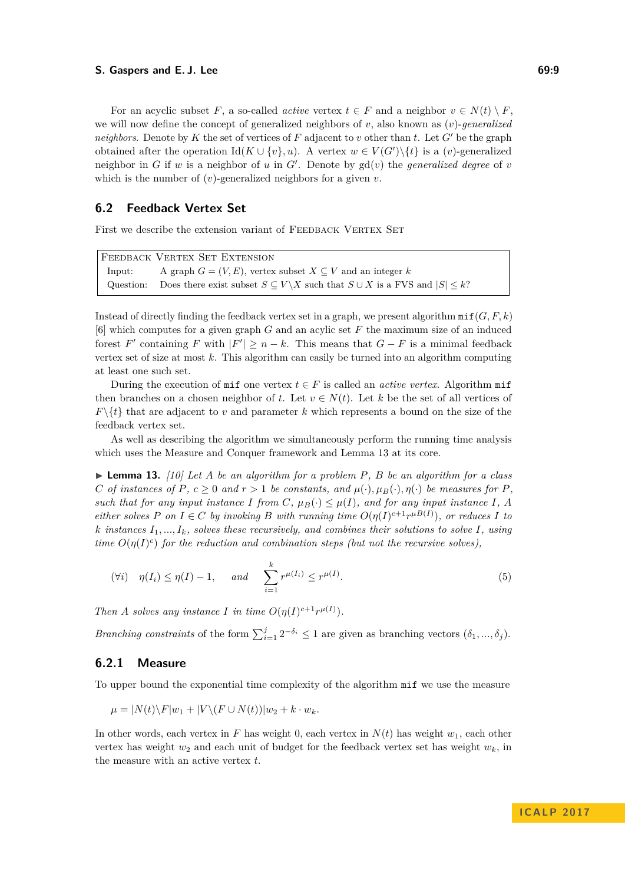For an acyclic subset *F*, a so-called *active* vertex  $t \in F$  and a neighbor  $v \in N(t) \setminus F$ , we will now define the concept of generalized neighbors of *v*, also known as (*v*)-*generalized neighbors*. Denote by *K* the set of vertices of *F* adjacent to *v* other than *t*. Let *G*<sup> $\prime$ </sup> be the graph obtained after the operation  $Id(K \cup \{v\}, u)$ . A vertex  $w \in V(G')\backslash\{t\}$  is a  $(v)$ -generalized neighbor in *G* if *w* is a neighbor of *u* in  $G'$ . Denote by  $gd(v)$  the *generalized degree* of *v* which is the number of  $(v)$ -generalized neighbors for a given  $v$ .

# **6.2 Feedback Vertex Set**

First we describe the extension variant of FEEDBACK VERTEX SET

Feedback Vertex Set Extension Input: A graph  $G = (V, E)$ , vertex subset  $X \subseteq V$  and an integer  $k$ Question: Does there exist subset  $S \subseteq V \setminus X$  such that  $S \cup X$  is a FVS and  $|S| \leq k$ ?

Instead of directly finding the feedback vertex set in a graph, we present algorithm  $\text{mit}(G, F, k)$ [\[6\]](#page-12-6) which computes for a given graph *G* and an acylic set *F* the maximum size of an induced forest *F*<sup>'</sup> containing *F* with  $|F'| \ge n - k$ . This means that  $G - F$  is a minimal feedback vertex set of size at most *k*. This algorithm can easily be turned into an algorithm computing at least one such set.

During the execution of mif one vertex  $t \in F$  is called an *active vertex*. Algorithm mif then branches on a chosen neighbor of *t*. Let  $v \in N(t)$ . Let *k* be the set of all vertices of  $F\setminus\{t\}$  that are adjacent to *v* and parameter *k* which represents a bound on the size of the feedback vertex set.

As well as describing the algorithm we simultaneously perform the running time analysis which uses the Measure and Conquer framework and Lemma [13](#page-8-0) at its core.

<span id="page-8-0"></span>I **Lemma 13.** *[\[10\]](#page-12-7) Let A be an algorithm for a problem P, B be an algorithm for a class C of instances of P,*  $c > 0$  *and*  $r > 1$  *be constants, and*  $\mu(\cdot), \mu_B(\cdot), \eta(\cdot)$  *be measures for P, such that for any input instance I from C,*  $\mu_B(\cdot) \leq \mu(I)$ *, and for any input instance I, A either solves P* on  $I \in C$  *by invoking B with running time*  $O(\eta(I)^{c+1}r^{\mu B(I)})$ *, or reduces I to*  $k$  *instances*  $I_1, \ldots, I_k$ *, solves these recursively, and combines their solutions to solve*  $I$ *, using time*  $O(\eta(I)^c)$  *for the reduction and combination steps (but not the recursive solves),* 

$$
(\forall i) \quad \eta(I_i) \le \eta(I) - 1, \quad \text{and} \quad \sum_{i=1}^k r^{\mu(I_i)} \le r^{\mu(I)}.
$$

*Then A solves any instance I in time*  $O(\eta(I)^{c+1}r^{\mu(I)})$ *.* 

*Branching constraints* of the form  $\sum_{i=1}^{j} 2^{-\delta_i} \leq 1$  are given as branching vectors  $(\delta_1, ..., \delta_j)$ .

# **6.2.1 Measure**

To upper bound the exponential time complexity of the algorithm mif we use the measure

$$
\mu = |N(t)\backslash F|w_1 + |V\backslash (F \cup N(t))|w_2 + k \cdot w_k.
$$

In other words, each vertex in *F* has weight 0, each vertex in  $N(t)$  has weight  $w_1$ , each other vertex has weight  $w_2$  and each unit of budget for the feedback vertex set has weight  $w_k$ , in the measure with an active vertex *t*.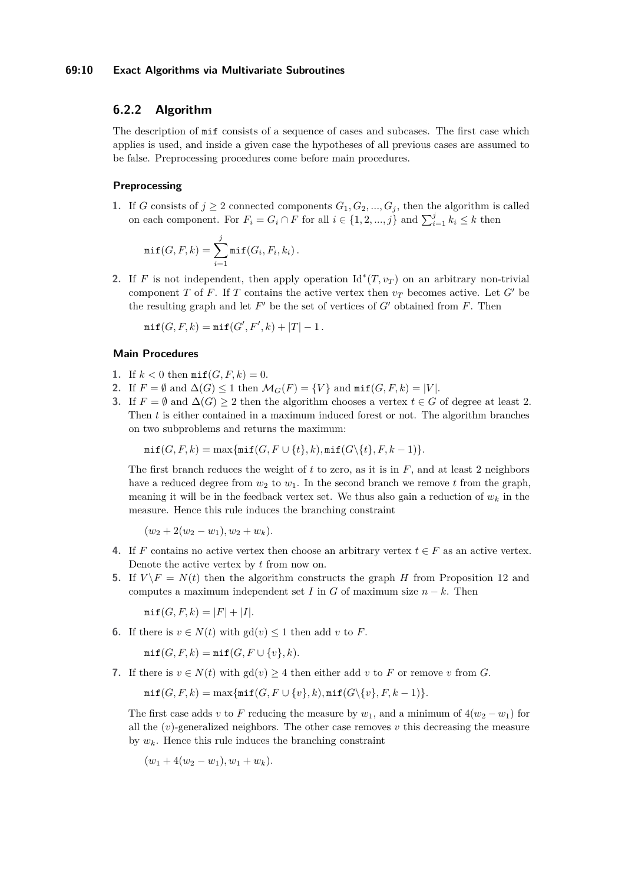#### **69:10 Exact Algorithms via Multivariate Subroutines**

# **6.2.2 Algorithm**

The description of mif consists of a sequence of cases and subcases. The first case which applies is used, and inside a given case the hypotheses of all previous cases are assumed to be false. Preprocessing procedures come before main procedures.

#### **Preprocessing**

**1.** If *G* consists of  $j \geq 2$  connected components  $G_1, G_2, ..., G_j$ , then the algorithm is called on each component. For  $F_i = G_i \cap F$  for all  $i \in \{1, 2, ..., j\}$  and  $\sum_{i=1}^{j} k_i \leq k$  then

$$
\mathtt{mif}(G, F, k) = \sum_{i=1}^j \mathtt{mif}(G_i, F_i, k_i).
$$

2. If *F* is not independent, then apply operation  $\text{Id}^*(T, v_T)$  on an arbitrary non-trivial component *T* of *F*. If *T* contains the active vertex then  $v_T$  becomes active. Let *G'* be the resulting graph and let  $F'$  be the set of vertices of  $G'$  obtained from  $F$ . Then

 $\texttt{mif}(G, F, k) = \texttt{mif}(G', F', k) + |T| - 1$ .

#### **Main Procedures**

- **1.** If  $k < 0$  then  $\text{mit}(G, F, k) = 0$ .
- 2. If  $F = \emptyset$  and  $\Delta(G) \leq 1$  then  $\mathcal{M}_G(F) = \{V\}$  and  $\text{mit}(G, F, k) = |V|$ .
- **3.** If  $F = \emptyset$  and  $\Delta(G) \geq 2$  then the algorithm chooses a vertex  $t \in G$  of degree at least 2. Then *t* is either contained in a maximum induced forest or not. The algorithm branches on two subproblems and returns the maximum:

 $\min(G, F, k) = \max{\{\min(G, F \cup \{t\}, k), \min(G \setminus \{t\}, F, k - 1)\}}.$ 

The first branch reduces the weight of  $t$  to zero, as it is in  $F$ , and at least 2 neighbors have a reduced degree from  $w_2$  to  $w_1$ . In the second branch we remove t from the graph, meaning it will be in the feedback vertex set. We thus also gain a reduction of  $w_k$  in the measure. Hence this rule induces the branching constraint

 $(w_2 + 2(w_2 - w_1), w_2 + w_k).$ 

- **4.** If *F* contains no active vertex then choose an arbitrary vertex  $t \in F$  as an active vertex. Denote the active vertex by *t* from now on.
- **5.** If  $V \backslash F = N(t)$  then the algorithm constructs the graph *H* from Proposition [12](#page-7-0) and computes a maximum independent set *I* in *G* of maximum size  $n - k$ . Then

 $\text{mif}(G, F, k) = |F| + |I|.$ 

**6.** If there is  $v \in N(t)$  with  $gd(v) \leq 1$  then add *v* to *F*.

 $mif(G, F, k) = mif(G, F \cup \{v\}, k).$ 

**7.** If there is  $v \in N(t)$  with  $gd(v) > 4$  then either add *v* to *F* or remove *v* from *G*.

 $\min(G, F, k) = \max{\min(G, F \cup \{v\}, k), \min(G \setminus \{v\}, F, k - 1)}$ 

The first case adds *v* to *F* reducing the measure by  $w_1$ , and a minimum of  $4(w_2 - w_1)$  for all the (*v*)-generalized neighbors. The other case removes *v* this decreasing the measure by  $w_k$ . Hence this rule induces the branching constraint

$$
(w_1 + 4(w_2 - w_1), w_1 + w_k).
$$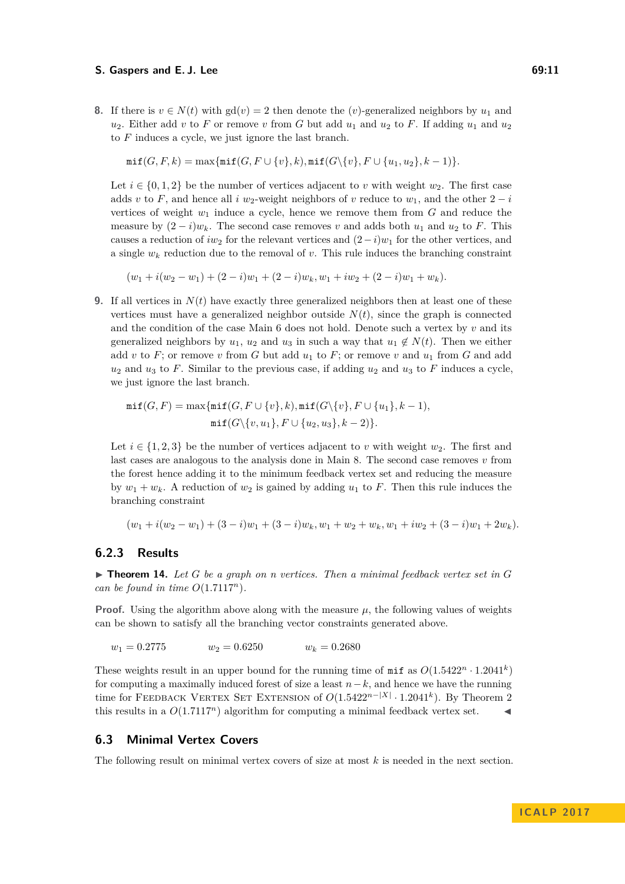<span id="page-10-0"></span>**8.** If there is  $v \in N(t)$  with  $gd(v) = 2$  then denote the  $(v)$ -generalized neighbors by  $u_1$  and  $u_2$ . Either add *v* to *F* or remove *v* from *G* but add  $u_1$  and  $u_2$  to *F*. If adding  $u_1$  and  $u_2$ to *F* induces a cycle, we just ignore the last branch.

 $\min(f(G, F, k) = \max{\min(f(G, F \cup \{v\}, k), \min(f(G \setminus \{v\}, F \cup \{u_1, u_2\}, k - 1)\}.$ 

Let  $i \in \{0, 1, 2\}$  be the number of vertices adjacent to *v* with weight  $w_2$ . The first case adds *v* to *F*, and hence all *i*  $w_2$ -weight neighbors of *v* reduce to  $w_1$ , and the other  $2 - i$ vertices of weight  $w_1$  induce a cycle, hence we remove them from  $G$  and reduce the measure by  $(2 - i)w_k$ . The second case removes *v* and adds both  $u_1$  and  $u_2$  to F. This causes a reduction of  $iw_2$  for the relevant vertices and  $(2-i)w_1$  for the other vertices, and a single  $w_k$  reduction due to the removal of *v*. This rule induces the branching constraint

 $(w_1 + i(w_2 - w_1) + (2 - i)w_1 + (2 - i)w_k, w_1 + iw_2 + (2 - i)w_1 + w_k).$ 

**9.** If all vertices in  $N(t)$  have exactly three generalized neighbors then at least one of these vertices must have a generalized neighbor outside  $N(t)$ , since the graph is connected and the condition of the case Main 6 does not hold. Denote such a vertex by *v* and its generalized neighbors by  $u_1$ ,  $u_2$  and  $u_3$  in such a way that  $u_1 \notin N(t)$ . Then we either add *v* to *F*; or remove *v* from *G* but add  $u_1$  to *F*; or remove *v* and  $u_1$  from *G* and add  $u_2$  and  $u_3$  to *F*. Similar to the previous case, if adding  $u_2$  and  $u_3$  to *F* induces a cycle, we just ignore the last branch.

$$
\texttt{mif}(G, F) = \max\{\texttt{mif}(G, F \cup \{v\}, k), \texttt{mif}(G \setminus \{v\}, F \cup \{u_1\}, k-1),\\ \texttt{mif}(G \setminus \{v, u_1\}, F \cup \{u_2, u_3\}, k-2)\}.
$$

Let  $i \in \{1, 2, 3\}$  be the number of vertices adjacent to *v* with weight  $w_2$ . The first and last cases are analogous to the analysis done in Main [8.](#page-10-0) The second case removes *v* from the forest hence adding it to the minimum feedback vertex set and reducing the measure by  $w_1 + w_k$ . A reduction of  $w_2$  is gained by adding  $u_1$  to F. Then this rule induces the branching constraint

 $(w_1 + i(w_2 - w_1) + (3 - i)w_1 + (3 - i)w_k, w_1 + w_2 + w_k, w_1 + iw_2 + (3 - i)w_1 + 2w_k$ 

# **6.2.3 Results**

 $\triangleright$  **Theorem 14.** Let G be a graph on n vertices. Then a minimal feedback vertex set in G *can be found in time*  $O(1.7117^n)$ *.* 

**Proof.** Using the algorithm above along with the measure  $\mu$ , the following values of weights can be shown to satisfy all the branching vector constraints generated above.

 $w_1 = 0.2775$   $w_2 = 0.6250$   $w_k = 0.2680$ 

These weights result in an upper bound for the running time of  $\text{mit as } O(1.5422^n \cdot 1.2041^k)$ for computing a maximally induced forest of size a least *n*−*k*, and hence we have the running time for FEEDBACK VERTEX SET EXTENSION of  $O(1.5422^{n-|X|} \cdot 1.2041^k)$ . By Theorem [2](#page-3-2) this results in a  $O(1.7117^n)$  algorithm for computing a minimal feedback vertex set.

# **6.3 Minimal Vertex Covers**

The following result on minimal vertex covers of size at most *k* is needed in the next section.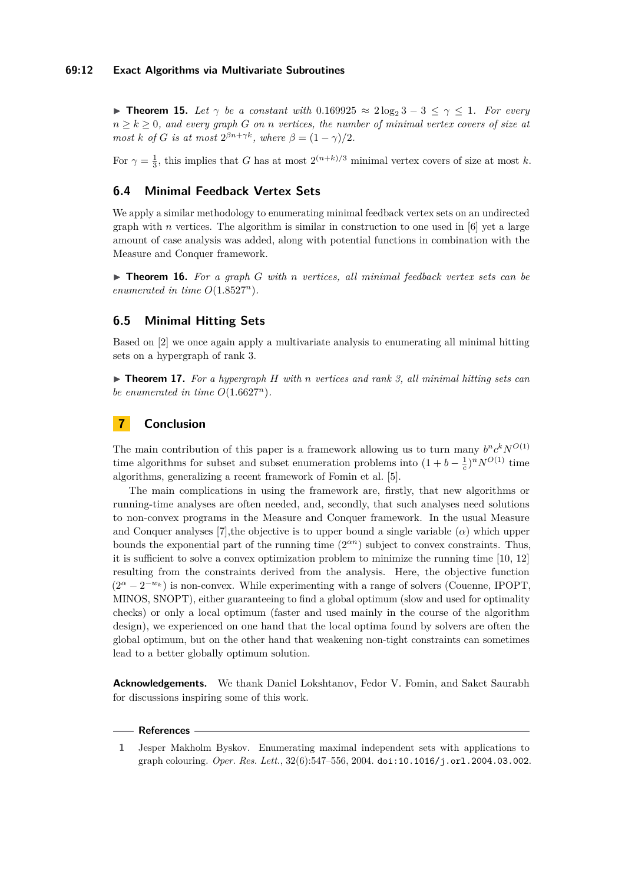#### **69:12 Exact Algorithms via Multivariate Subroutines**

**► Theorem 15.** Let  $\gamma$  be a constant with 0.169925  $\approx$  2 log<sub>2</sub> 3 – 3  $\leq \gamma \leq 1$ *. For every*  $n \geq k \geq 0$ , and every graph *G* on *n* vertices, the number of minimal vertex covers of size at *most k of G is at most*  $2^{\beta n + \gamma k}$ *, where*  $\beta = (1 - \gamma)/2$ *.* 

For  $\gamma = \frac{1}{3}$ , this implies that *G* has at most  $2^{(n+k)/3}$  minimal vertex covers of size at most *k*.

# **6.4 Minimal Feedback Vertex Sets**

We apply a similar methodology to enumerating minimal feedback vertex sets on an undirected graph with *n* vertices. The algorithm is similar in construction to one used in  $[6]$  yet a large amount of case analysis was added, along with potential functions in combination with the Measure and Conquer framework.

▶ **Theorem 16.** For a graph *G* with *n* vertices, all minimal feedback vertex sets can be *enumerated in time*  $O(1.8527^n)$ *.* 

### **6.5 Minimal Hitting Sets**

Based on [\[2\]](#page-12-11) we once again apply a multivariate analysis to enumerating all minimal hitting sets on a hypergraph of rank 3.

I **Theorem 17.** *For a hypergraph H with n vertices and rank 3, all minimal hitting sets can be enumerated in time*  $O(1.6627^n)$ *.* 

# **7 Conclusion**

The main contribution of this paper is a framework allowing us to turn many  $b^n c^k N^{O(1)}$ time algorithms for subset and subset enumeration problems into  $(1 + b - \frac{1}{c})^n N^{O(1)}$  time algorithms, generalizing a recent framework of Fomin et al. [\[5\]](#page-12-3).

The main complications in using the framework are, firstly, that new algorithms or running-time analyses are often needed, and, secondly, that such analyses need solutions to non-convex programs in the Measure and Conquer framework. In the usual Measure and Conquer analyses [\[7\]](#page-12-12), the objective is to upper bound a single variable  $(\alpha)$  which upper bounds the exponential part of the running time  $(2^{\alpha n})$  subject to convex constraints. Thus, it is sufficient to solve a convex optimization problem to minimize the running time [\[10,](#page-12-7) [12\]](#page-12-13) resulting from the constraints derived from the analysis. Here, the objective function  $(2^{\alpha} - 2^{-w_k})$  is non-convex. While experimenting with a range of solvers (Couenne, IPOPT, MINOS, SNOPT), either guaranteeing to find a global optimum (slow and used for optimality checks) or only a local optimum (faster and used mainly in the course of the algorithm design), we experienced on one hand that the local optima found by solvers are often the global optimum, but on the other hand that weakening non-tight constraints can sometimes lead to a better globally optimum solution.

**Acknowledgements.** We thank Daniel Lokshtanov, Fedor V. Fomin, and Saket Saurabh for discussions inspiring some of this work.

#### **References**

<span id="page-11-0"></span>**1** Jesper Makholm Byskov. Enumerating maximal independent sets with applications to graph colouring. *Oper. Res. Lett.*, 32(6):547–556, 2004. [doi:10.1016/j.orl.2004.03.002](http://dx.doi.org/10.1016/j.orl.2004.03.002).